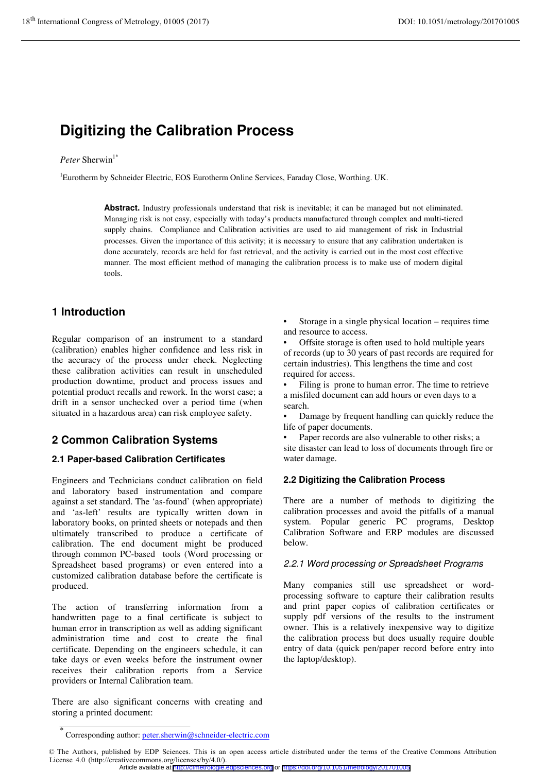# **Digitizing the Calibration Process**

### *Peter* Sherwin<sup>1\*</sup>

<sup>1</sup>Eurotherm by Schneider Electric, EOS Eurotherm Online Services, Faraday Close, Worthing. UK.

**Abstract.** Industry professionals understand that risk is inevitable; it can be managed but not eliminated. Managing risk is not easy, especially with today's products manufactured through complex and multi-tiered supply chains. Compliance and Calibration activities are used to aid management of risk in Industrial processes. Given the importance of this activity; it is necessary to ensure that any calibration undertaken is done accurately, records are held for fast retrieval, and the activity is carried out in the most cost effective manner. The most efficient method of managing the calibration process is to make use of modern digital tools.

### **1 Introduction**

Regular comparison of an instrument to a standard (calibration) enables higher confidence and less risk in the accuracy of the process under check. Neglecting these calibration activities can result in unscheduled production downtime, product and process issues and potential product recalls and rework. In the worst case; a drift in a sensor unchecked over a period time (when situated in a hazardous area) can risk employee safety.

# **2 Common Calibration Systems**

### **2.1 Paper-based Calibration Certificates**

Engineers and Technicians conduct calibration on field and laboratory based instrumentation and compare against a set standard. The 'as-found' (when appropriate) and 'as-left' results are typically written down in laboratory books, on printed sheets or notepads and then ultimately transcribed to produce a certificate of calibration. The end document might be produced through common PC-based tools (Word processing or Spreadsheet based programs) or even entered into a customized calibration database before the certificate is produced.

The action of transferring information from a handwritten page to a final certificate is subject to human error in transcription as well as adding significant administration time and cost to create the final certificate. Depending on the engineers schedule, it can take days or even weeks before the instrument owner receives their calibration reports from a Service providers or Internal Calibration team.

There are also significant concerns with creating and storing a printed document:

Storage in a single physical location – requires time and resource to access.

• Offsite storage is often used to hold multiple years of records (up to 30 years of past records are required for certain industries). This lengthens the time and cost required for access.

Filing is prone to human error. The time to retrieve a misfiled document can add hours or even days to a search.

Damage by frequent handling can quickly reduce the life of paper documents.

Paper records are also vulnerable to other risks; a site disaster can lead to loss of documents through fire or water damage.

#### **2.2 Digitizing the Calibration Process**

There are a number of methods to digitizing the calibration processes and avoid the pitfalls of a manual system. Popular generic PC programs, Desktop Calibration Software and ERP modules are discussed below.

#### 2.2.1 Word processing or Spreadsheet Programs

Many companies still use spreadsheet or wordprocessing software to capture their calibration results and print paper copies of calibration certificates or supply pdf versions of the results to the instrument owner. This is a relatively inexpensive way to digitize the calibration process but does usually require double entry of data (quick pen/paper record before entry into the laptop/desktop).

<sup>\*</sup> Corresponding author: peter.sherwin@schneider-electric.com

<sup>©</sup> The Authors, published by EDP Sciences. This is an open access article distributed under the terms of the Creative Commons Attribution License 4.0 (http://creativecommons.org/licenses/by/4.0/).

Article available at <http://cfmetrologie.edpsciences.org> or <https://doi.org/10.1051/metrology/201701005>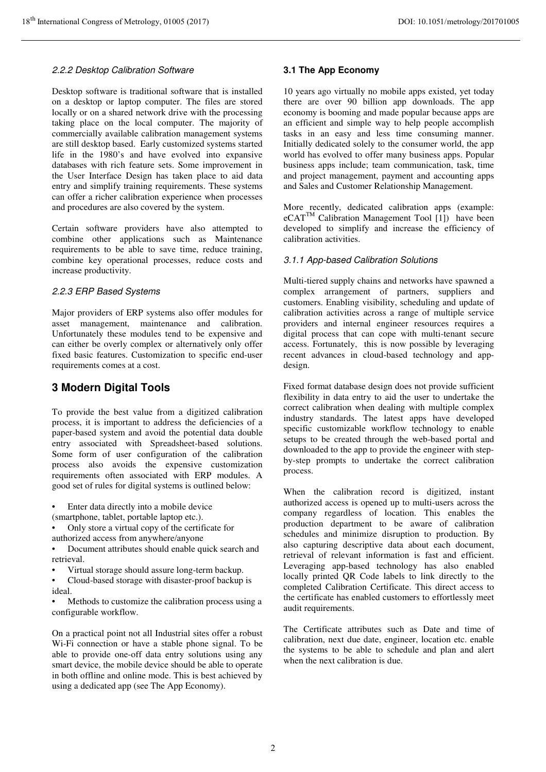#### 2.2.2 Desktop Calibration Software

Desktop software is traditional software that is installed on a desktop or laptop computer. The files are stored locally or on a shared network drive with the processing taking place on the local computer. The majority of commercially available calibration management systems are still desktop based. Early customized systems started life in the 1980's and have evolved into expansive databases with rich feature sets. Some improvement in the User Interface Design has taken place to aid data entry and simplify training requirements. These systems can offer a richer calibration experience when processes and procedures are also covered by the system.

Certain software providers have also attempted to combine other applications such as Maintenance requirements to be able to save time, reduce training, combine key operational processes, reduce costs and increase productivity.

#### 2.2.3 ERP Based Systems

Major providers of ERP systems also offer modules for asset management, maintenance and calibration. Unfortunately these modules tend to be expensive and can either be overly complex or alternatively only offer fixed basic features. Customization to specific end-user requirements comes at a cost.

### **3 Modern Digital Tools**

To provide the best value from a digitized calibration process, it is important to address the deficiencies of a paper-based system and avoid the potential data double entry associated with Spreadsheet-based solutions. Some form of user configuration of the calibration process also avoids the expensive customization requirements often associated with ERP modules. A good set of rules for digital systems is outlined below:

• Enter data directly into a mobile device

(smartphone, tablet, portable laptop etc.).

• Only store a virtual copy of the certificate for authorized access from anywhere/anyone

• Document attributes should enable quick search and retrieval.

• Virtual storage should assure long-term backup.

• Cloud-based storage with disaster-proof backup is ideal.

• Methods to customize the calibration process using a configurable workflow.

On a practical point not all Industrial sites offer a robust Wi-Fi connection or have a stable phone signal. To be able to provide one-off data entry solutions using any smart device, the mobile device should be able to operate in both offline and online mode. This is best achieved by using a dedicated app (see The App Economy).

#### **3.1 The App Economy**

10 years ago virtually no mobile apps existed, yet today there are over 90 billion app downloads. The app economy is booming and made popular because apps are an efficient and simple way to help people accomplish tasks in an easy and less time consuming manner. Initially dedicated solely to the consumer world, the app world has evolved to offer many business apps. Popular business apps include; team communication, task, time and project management, payment and accounting apps and Sales and Customer Relationship Management.

More recently, dedicated calibration apps (example:  $eCAT^{TM}$  Calibration Management Tool [1]) have been developed to simplify and increase the efficiency of calibration activities.

#### 3.1.1 App-based Calibration Solutions

Multi-tiered supply chains and networks have spawned a complex arrangement of partners, suppliers and customers. Enabling visibility, scheduling and update of calibration activities across a range of multiple service providers and internal engineer resources requires a digital process that can cope with multi-tenant secure access. Fortunately, this is now possible by leveraging recent advances in cloud-based technology and appdesign.

Fixed format database design does not provide sufficient flexibility in data entry to aid the user to undertake the correct calibration when dealing with multiple complex industry standards. The latest apps have developed specific customizable workflow technology to enable setups to be created through the web-based portal and downloaded to the app to provide the engineer with stepby-step prompts to undertake the correct calibration process.

When the calibration record is digitized, instant authorized access is opened up to multi-users across the company regardless of location. This enables the production department to be aware of calibration schedules and minimize disruption to production. By also capturing descriptive data about each document, retrieval of relevant information is fast and efficient. Leveraging app-based technology has also enabled locally printed QR Code labels to link directly to the completed Calibration Certificate. This direct access to the certificate has enabled customers to effortlessly meet audit requirements.

The Certificate attributes such as Date and time of calibration, next due date, engineer, location etc. enable the systems to be able to schedule and plan and alert when the next calibration is due.